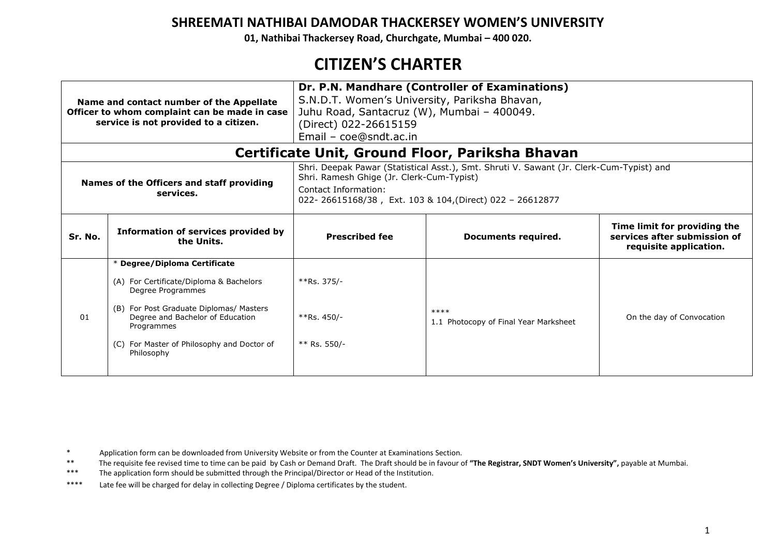**01, Nathibai Thackersey Road, Churchgate, Mumbai – 400 020.**

# **CITIZEN'S CHARTER**

| Name and contact number of the Appellate<br>Officer to whom complaint can be made in case<br>service is not provided to a citizen. |                                                                                                                                                                                                                                                          | Dr. P.N. Mandhare (Controller of Examinations)<br>S.N.D.T. Women's University, Pariksha Bhavan,<br>Juhu Road, Santacruz (W), Mumbai - 400049.<br>(Direct) 022-26615159<br>Email - coe@sndt.ac.in                          |                                                 |                           |  |  |
|------------------------------------------------------------------------------------------------------------------------------------|----------------------------------------------------------------------------------------------------------------------------------------------------------------------------------------------------------------------------------------------------------|---------------------------------------------------------------------------------------------------------------------------------------------------------------------------------------------------------------------------|-------------------------------------------------|---------------------------|--|--|
|                                                                                                                                    |                                                                                                                                                                                                                                                          |                                                                                                                                                                                                                           | Certificate Unit, Ground Floor, Pariksha Bhavan |                           |  |  |
| Names of the Officers and staff providing<br>services.                                                                             |                                                                                                                                                                                                                                                          | Shri. Deepak Pawar (Statistical Asst.), Smt. Shruti V. Sawant (Jr. Clerk-Cum-Typist) and<br>Shri. Ramesh Ghige (Jr. Clerk-Cum-Typist)<br>Contact Information:<br>022-26615168/38, Ext. 103 & 104, (Direct) 022 - 26612877 |                                                 |                           |  |  |
| Sr. No.                                                                                                                            | Information of services provided by<br>the Units.                                                                                                                                                                                                        | Time limit for providing the<br>services after submission of<br><b>Prescribed fee</b><br>Documents required.<br>requisite application.                                                                                    |                                                 |                           |  |  |
| 01                                                                                                                                 | * Degree/Diploma Certificate<br>(A) For Certificate/Diploma & Bachelors<br>Degree Programmes<br>For Post Graduate Diplomas/ Masters<br>(B)<br>Degree and Bachelor of Education<br>Programmes<br>(C) For Master of Philosophy and Doctor of<br>Philosophy | $*Rs. 375/-$<br>$*Rs. 450/-$<br>$**$ Rs. 550/-                                                                                                                                                                            | $****$<br>1.1 Photocopy of Final Year Marksheet | On the day of Convocation |  |  |

\* Application form can be downloaded from University Website or from the Counter at Examinations Section.<br>\*\* The provisite foe rovised time to time can be paid by Cash or Domand Draft. The Draft should be in favour o

\*\* The requisite fee revised time to time can be paid by Cash or Demand Draft. The Draft should be in favour of "The Registrar, SNDT Women's University", payable at Mumbai.<br>\*\*\* The application form should be submitted thro

The application form should be submitted through the Principal/Director or Head of the Institution.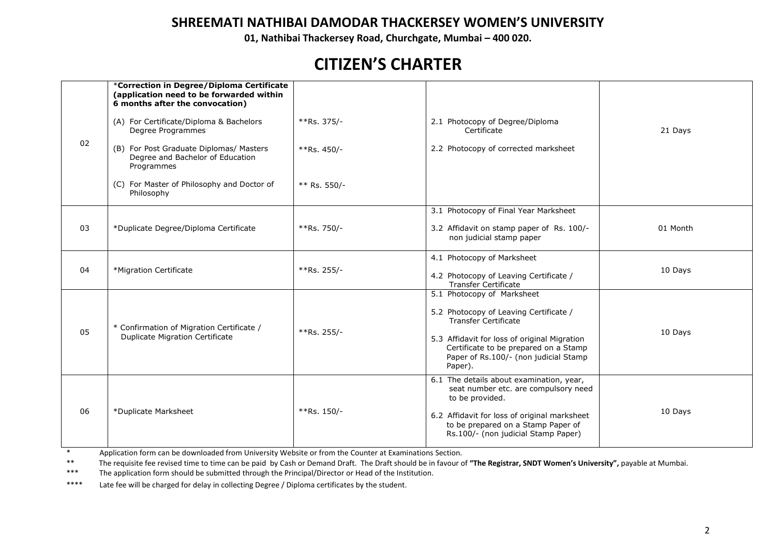**01, Nathibai Thackersey Road, Churchgate, Mumbai – 400 020.**

### **CITIZEN'S CHARTER**

|    | *Correction in Degree/Diploma Certificate<br>(application need to be forwarded within<br>6 months after the convocation) |              |                                                                                                                                           |          |  |
|----|--------------------------------------------------------------------------------------------------------------------------|--------------|-------------------------------------------------------------------------------------------------------------------------------------------|----------|--|
| 02 | (A) For Certificate/Diploma & Bachelors<br>Degree Programmes                                                             | **Rs. 375/-  | 2.1 Photocopy of Degree/Diploma<br>Certificate                                                                                            |          |  |
|    | (B) For Post Graduate Diplomas/ Masters<br>Degree and Bachelor of Education<br>Programmes                                | **Rs. 450/-  | 2.2 Photocopy of corrected marksheet                                                                                                      |          |  |
|    | (C) For Master of Philosophy and Doctor of<br>Philosophy                                                                 | ** Rs. 550/- |                                                                                                                                           |          |  |
|    |                                                                                                                          |              | 3.1 Photocopy of Final Year Marksheet                                                                                                     |          |  |
| 03 | *Duplicate Degree/Diploma Certificate                                                                                    | **Rs. 750/-  | 3.2 Affidavit on stamp paper of Rs. 100/-<br>non judicial stamp paper                                                                     | 01 Month |  |
| 04 | *Migration Certificate                                                                                                   | **Rs. 255/-  | 4.1 Photocopy of Marksheet                                                                                                                | 10 Days  |  |
|    |                                                                                                                          |              | 4.2 Photocopy of Leaving Certificate /<br><b>Transfer Certificate</b>                                                                     |          |  |
|    |                                                                                                                          |              | 5.1 Photocopy of Marksheet                                                                                                                |          |  |
| 05 | * Confirmation of Migration Certificate /<br><b>Duplicate Migration Certificate</b>                                      | **Rs. 255/-  | 5.2 Photocopy of Leaving Certificate /<br><b>Transfer Certificate</b>                                                                     |          |  |
|    |                                                                                                                          |              | 5.3 Affidavit for loss of original Migration<br>Certificate to be prepared on a Stamp<br>Paper of Rs.100/- (non judicial Stamp<br>Paper). | 10 Days  |  |
|    |                                                                                                                          |              | 6.1 The details about examination, year,<br>seat number etc. are compulsory need<br>to be provided.                                       |          |  |
| 06 | *Duplicate Marksheet                                                                                                     | **Rs. 150/-  | 6.2 Affidavit for loss of original marksheet<br>to be prepared on a Stamp Paper of<br>Rs.100/- (non judicial Stamp Paper)                 | 10 Days  |  |

\* Application form can be downloaded from University Website or from the Counter at Examinations Section.<br>\*\* The provisite foe rovised time to time can be paid by Cash or Domand Draft. The Draft should be in favour o

\*\* The requisite fee revised time to time can be paid by Cash or Demand Draft. The Draft should be in favour of "The Registrar, SNDT Women's University", payable at Mumbai.<br>\*\*\* The application form should be submitted thro

The application form should be submitted through the Principal/Director or Head of the Institution.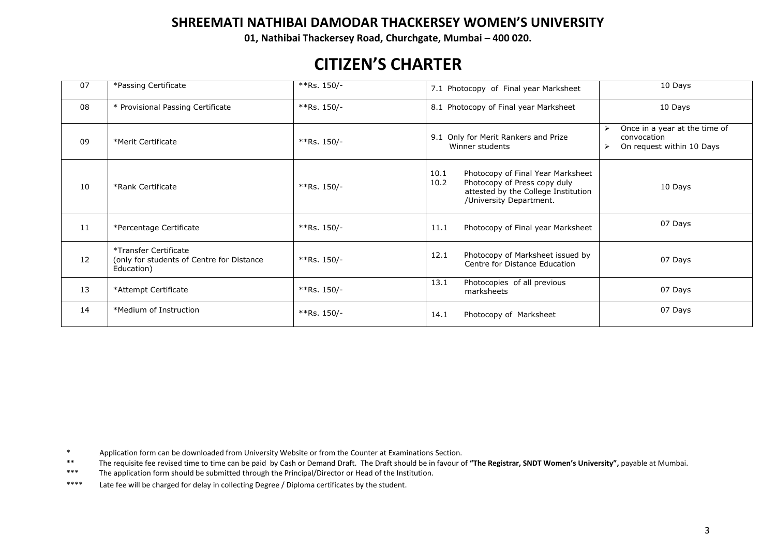**01, Nathibai Thackersey Road, Churchgate, Mumbai – 400 020.**

## **CITIZEN'S CHARTER**

| 07 | *Passing Certificate                                                             | **Rs. $150/-$ | 7.1 Photocopy of Final year Marksheet                                                                                                               | 10 Days                                                                   |
|----|----------------------------------------------------------------------------------|---------------|-----------------------------------------------------------------------------------------------------------------------------------------------------|---------------------------------------------------------------------------|
| 08 | * Provisional Passing Certificate                                                | $*Rs. 150/-$  | 8.1 Photocopy of Final year Marksheet                                                                                                               | 10 Days                                                                   |
| 09 | *Merit Certificate                                                               | **Rs. $150/-$ | 9.1 Only for Merit Rankers and Prize<br>Winner students                                                                                             | Once in a year at the time of<br>convocation<br>On request within 10 Days |
| 10 | *Rank Certificate                                                                | $*Rs. 150/-$  | 10.1<br>Photocopy of Final Year Marksheet<br>Photocopy of Press copy duly<br>10.2<br>attested by the College Institution<br>/University Department. | 10 Days                                                                   |
| 11 | *Percentage Certificate                                                          | $*Rs. 150/-$  | Photocopy of Final year Marksheet<br>11.1                                                                                                           | 07 Days                                                                   |
| 12 | *Transfer Certificate<br>(only for students of Centre for Distance<br>Education) | $*Rs. 150/-$  | 12.1<br>Photocopy of Marksheet issued by<br>Centre for Distance Education                                                                           | 07 Days                                                                   |
| 13 | *Attempt Certificate                                                             | **Rs. $150/-$ | Photocopies of all previous<br>13.1<br>marksheets                                                                                                   | 07 Days                                                                   |
| 14 | *Medium of Instruction                                                           | **Rs. $150/-$ | 14.1<br>Photocopy of Marksheet                                                                                                                      | 07 Days                                                                   |

\* Application form can be downloaded from University Website or from the Counter at Examinations Section.<br>\*\* The provisite foe rovised time to time can be paid by Cash or Domand Draft. The Draft should be in favour o

\*\* The requisite fee revised time to time can be paid by Cash or Demand Draft. The Draft should be in favour of "The Registrar, SNDT Women's University", payable at Mumbai.<br>\*\*\* The application form should be submitted thro

The application form should be submitted through the Principal/Director or Head of the Institution.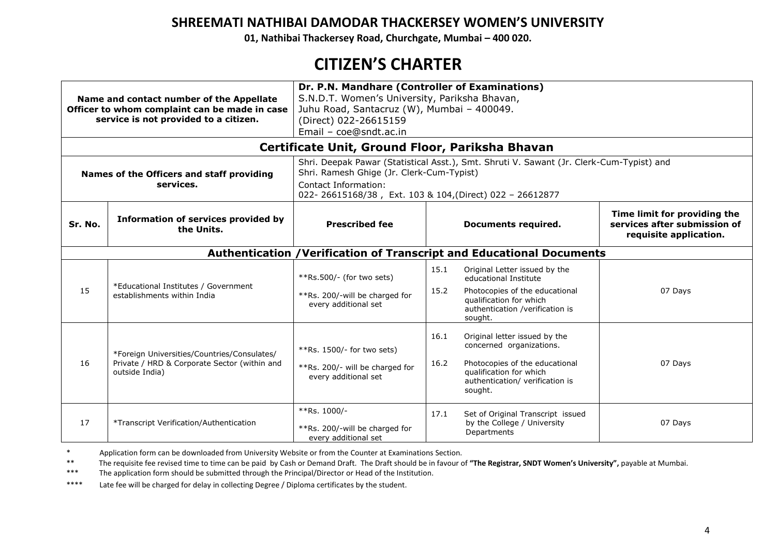**01, Nathibai Thackersey Road, Churchgate, Mumbai – 400 020.**

# **CITIZEN'S CHARTER**

| Dr. P.N. Mandhare (Controller of Examinations)<br>S.N.D.T. Women's University, Pariksha Bhavan,<br>Name and contact number of the Appellate<br>Juhu Road, Santacruz (W), Mumbai - 400049.<br>Officer to whom complaint can be made in case<br>service is not provided to a citizen.<br>(Direct) 022-26615159<br>Email - coe@sndt.ac.in<br>Certificate Unit, Ground Floor, Pariksha Bhavan<br>Shri. Deepak Pawar (Statistical Asst.), Smt. Shruti V. Sawant (Jr. Clerk-Cum-Typist) and |                                                                                                               |                                                                                                                               |              |                                                                                                                                                                      |                                                                                        |
|---------------------------------------------------------------------------------------------------------------------------------------------------------------------------------------------------------------------------------------------------------------------------------------------------------------------------------------------------------------------------------------------------------------------------------------------------------------------------------------|---------------------------------------------------------------------------------------------------------------|-------------------------------------------------------------------------------------------------------------------------------|--------------|----------------------------------------------------------------------------------------------------------------------------------------------------------------------|----------------------------------------------------------------------------------------|
| Names of the Officers and staff providing<br>services.                                                                                                                                                                                                                                                                                                                                                                                                                                |                                                                                                               | Shri. Ramesh Ghige (Jr. Clerk-Cum-Typist)<br>Contact Information:<br>022-26615168/38, Ext. 103 & 104, (Direct) 022 - 26612877 |              |                                                                                                                                                                      |                                                                                        |
| Sr. No.                                                                                                                                                                                                                                                                                                                                                                                                                                                                               | <b>Information of services provided by</b><br>the Units.                                                      | <b>Prescribed fee</b><br>Documents required.                                                                                  |              |                                                                                                                                                                      | Time limit for providing the<br>services after submission of<br>requisite application. |
|                                                                                                                                                                                                                                                                                                                                                                                                                                                                                       |                                                                                                               |                                                                                                                               |              | Authentication / Verification of Transcript and Educational Documents                                                                                                |                                                                                        |
| 15                                                                                                                                                                                                                                                                                                                                                                                                                                                                                    | *Educational Institutes / Government<br>establishments within India                                           | $**$ Rs.500/- (for two sets)<br>**Rs. 200/-will be charged for<br>every additional set                                        | 15.1<br>15.2 | Original Letter issued by the<br>educational Institute<br>Photocopies of the educational<br>qualification for which<br>authentication /verification is<br>sought.    | 07 Days                                                                                |
| 16                                                                                                                                                                                                                                                                                                                                                                                                                                                                                    | *Foreign Universities/Countries/Consulates/<br>Private / HRD & Corporate Sector (within and<br>outside India) | **Rs. $1500/-$ for two sets)<br>**Rs. 200/- will be charged for<br>every additional set                                       | 16.1<br>16.2 | Original letter issued by the<br>concerned organizations.<br>Photocopies of the educational<br>qualification for which<br>authentication/ verification is<br>sought. | 07 Days                                                                                |
| 17                                                                                                                                                                                                                                                                                                                                                                                                                                                                                    | *Transcript Verification/Authentication                                                                       | **Rs. 1000/-<br>**Rs. 200/-will be charged for<br>every additional set                                                        | 17.1         | Set of Original Transcript issued<br>by the College / University<br>Departments                                                                                      | 07 Days                                                                                |

\* Application form can be downloaded from University Website or from the Counter at Examinations Section.<br>\*\* The provisite foe rovised time to time can be paid by Cash or Domand Draft. The Draft should be in favour o

\*\* The requisite fee revised time to time can be paid by Cash or Demand Draft. The Draft should be in favour of "The Registrar, SNDT Women's University", payable at Mumbai.<br>\*\*\* The application form should be submitted thro

The application form should be submitted through the Principal/Director or Head of the Institution.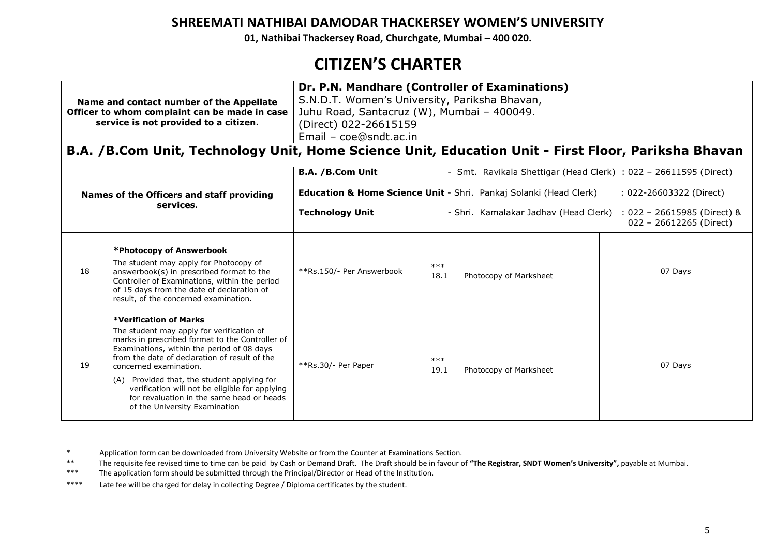**01, Nathibai Thackersey Road, Churchgate, Mumbai – 400 020.**

# **CITIZEN'S CHARTER**

|           | Name and contact number of the Appellate<br>Officer to whom complaint can be made in case<br>service is not provided to a citizen.                                                                                                                                                                                                                                                                                                    | Dr. P.N. Mandhare (Controller of Examinations)<br>S.N.D.T. Women's University, Pariksha Bhavan,<br>Juhu Road, Santacruz (W), Mumbai - 400049.<br>(Direct) 022-26615159<br>Email - coe@sndt.ac.in |                                                                  |                                                          |  |
|-----------|---------------------------------------------------------------------------------------------------------------------------------------------------------------------------------------------------------------------------------------------------------------------------------------------------------------------------------------------------------------------------------------------------------------------------------------|--------------------------------------------------------------------------------------------------------------------------------------------------------------------------------------------------|------------------------------------------------------------------|----------------------------------------------------------|--|
|           | B.A. /B.Com Unit, Technology Unit, Home Science Unit, Education Unit - First Floor, Pariksha Bhavan                                                                                                                                                                                                                                                                                                                                   |                                                                                                                                                                                                  |                                                                  |                                                          |  |
|           |                                                                                                                                                                                                                                                                                                                                                                                                                                       | B.A. / B.Com Unit                                                                                                                                                                                | - Smt. Ravikala Shettigar (Head Clerk) : 022 - 26611595 (Direct) |                                                          |  |
|           | Names of the Officers and staff providing                                                                                                                                                                                                                                                                                                                                                                                             | <b>Education &amp; Home Science Unit - Shri. Pankaj Solanki (Head Clerk)</b><br>: 022-26603322 (Direct)                                                                                          |                                                                  |                                                          |  |
| services. |                                                                                                                                                                                                                                                                                                                                                                                                                                       | <b>Technology Unit</b>                                                                                                                                                                           | - Shri. Kamalakar Jadhav (Head Clerk)                            | $: 022 - 26615985$ (Direct) &<br>022 - 26612265 (Direct) |  |
| 18        | *Photocopy of Answerbook<br>The student may apply for Photocopy of<br>answerbook(s) in prescribed format to the<br>Controller of Examinations, within the period<br>of 15 days from the date of declaration of<br>result, of the concerned examination.                                                                                                                                                                               | **Rs.150/- Per Answerbook                                                                                                                                                                        | $***$<br>18.1<br>Photocopy of Marksheet                          | 07 Days                                                  |  |
| 19        | <b>*Verification of Marks</b><br>The student may apply for verification of<br>marks in prescribed format to the Controller of<br>Examinations, within the period of 08 days<br>from the date of declaration of result of the<br>concerned examination.<br>(A) Provided that, the student applying for<br>verification will not be eligible for applying<br>for revaluation in the same head or heads<br>of the University Examination | **Rs.30/- Per Paper                                                                                                                                                                              | $***$<br>19.1<br>Photocopy of Marksheet                          | 07 Days                                                  |  |

<sup>\*</sup> Application form can be downloaded from University Website or from the Counter at Examinations Section.<br>\*\* The provisite foe rovised time to time can be paid by Cash or Domand Draft. The Draft should be in favour o

<sup>\*\*</sup> The requisite fee revised time to time can be paid by Cash or Demand Draft. The Draft should be in favour of "The Registrar, SNDT Women's University", payable at Mumbai.<br>\*\*\* The application form should be submitted thro

The application form should be submitted through the Principal/Director or Head of the Institution.